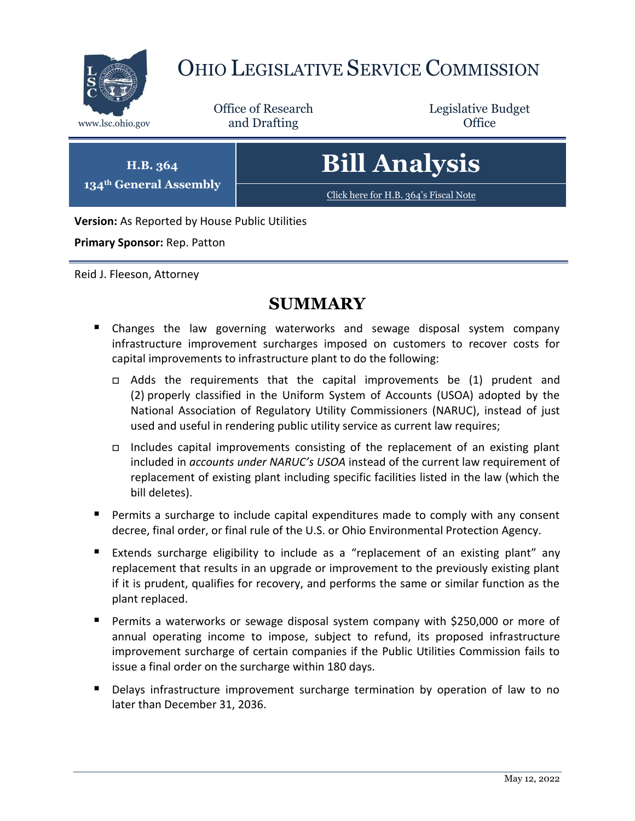

# OHIO LEGISLATIVE SERVICE COMMISSION

Office of Research www.lsc.ohio.gov **and Drafting Office** 

Legislative Budget

**H.B. 364 134th General Assembly** **Bill Analysis**

[Click here for H.B. 364](https://www.legislature.ohio.gov/legislation/legislation-documents?id=GA134-HB-364)'s Fiscal Note

**Version:** As Reported by House Public Utilities

**Primary Sponsor:** Rep. Patton

Reid J. Fleeson, Attorney

## **SUMMARY**

- Changes the law governing waterworks and sewage disposal system company infrastructure improvement surcharges imposed on customers to recover costs for capital improvements to infrastructure plant to do the following:
	- Adds the requirements that the capital improvements be (1) prudent and (2) properly classified in the Uniform System of Accounts (USOA) adopted by the National Association of Regulatory Utility Commissioners (NARUC), instead of just used and useful in rendering public utility service as current law requires;
	- Includes capital improvements consisting of the replacement of an existing plant included in *accounts under NARUC's USOA* instead of the current law requirement of replacement of existing plant including specific facilities listed in the law (which the bill deletes).
- Permits a surcharge to include capital expenditures made to comply with any consent decree, final order, or final rule of the U.S. or Ohio Environmental Protection Agency.
- Extends surcharge eligibility to include as a "replacement of an existing plant" any replacement that results in an upgrade or improvement to the previously existing plant if it is prudent, qualifies for recovery, and performs the same or similar function as the plant replaced.
- **Permits a waterworks or sewage disposal system company with \$250,000 or more of** annual operating income to impose, subject to refund, its proposed infrastructure improvement surcharge of certain companies if the Public Utilities Commission fails to issue a final order on the surcharge within 180 days.
- **Delays infrastructure improvement surcharge termination by operation of law to no** later than December 31, 2036.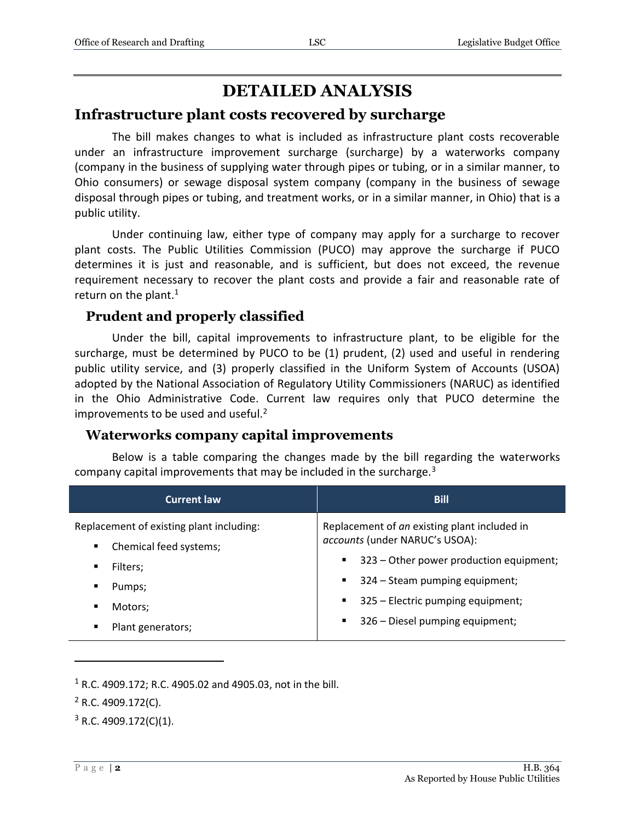# **DETAILED ANALYSIS**

## **Infrastructure plant costs recovered by surcharge**

The bill makes changes to what is included as infrastructure plant costs recoverable under an infrastructure improvement surcharge (surcharge) by a waterworks company (company in the business of supplying water through pipes or tubing, or in a similar manner, to Ohio consumers) or sewage disposal system company (company in the business of sewage disposal through pipes or tubing, and treatment works, or in a similar manner, in Ohio) that is a public utility.

Under continuing law, either type of company may apply for a surcharge to recover plant costs. The Public Utilities Commission (PUCO) may approve the surcharge if PUCO determines it is just and reasonable, and is sufficient, but does not exceed, the revenue requirement necessary to recover the plant costs and provide a fair and reasonable rate of return on the plant.<sup>1</sup>

## **Prudent and properly classified**

Under the bill, capital improvements to infrastructure plant, to be eligible for the surcharge, must be determined by PUCO to be (1) prudent, (2) used and useful in rendering public utility service, and (3) properly classified in the Uniform System of Accounts (USOA) adopted by the National Association of Regulatory Utility Commissioners (NARUC) as identified in the Ohio Administrative Code. Current law requires only that PUCO determine the improvements to be used and useful. $2$ 

## **Waterworks company capital improvements**

Below is a table comparing the changes made by the bill regarding the waterworks company capital improvements that may be included in the surcharge.<sup>3</sup>

| <b>Current law</b>                           | <b>Bill</b>                                                                    |
|----------------------------------------------|--------------------------------------------------------------------------------|
| Replacement of existing plant including:     | Replacement of an existing plant included in<br>accounts (under NARUC's USOA): |
| Chemical feed systems;<br>٠<br>Filters;<br>٠ | 323 – Other power production equipment;<br>$\blacksquare$                      |
| Pumps;                                       | 324 – Steam pumping equipment;                                                 |
|                                              |                                                                                |
| Motors;                                      | 325 - Electric pumping equipment;                                              |
|                                              | ٠                                                                              |
| Plant generators;                            | 326 – Diesel pumping equipment;                                                |
| ٠                                            | $\blacksquare$ .                                                               |

 $1 R.C. 4909.172$ ; R.C. 4905.02 and 4905.03, not in the bill.

 $\overline{a}$ 

 $3$  R.C. 4909.172(C)(1).

 $2$  R.C. 4909.172(C).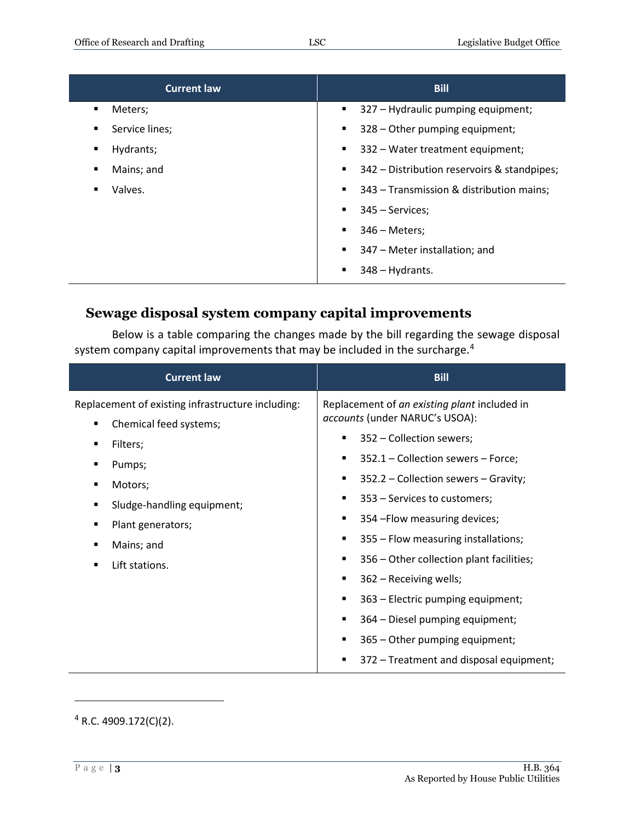| <b>Current law</b> | <b>Bill</b>                                     |
|--------------------|-------------------------------------------------|
| Meters;            | 327 - Hydraulic pumping equipment;              |
| $\blacksquare$     | ٠                                               |
| Service lines;     | 328 - Other pumping equipment;                  |
| ٠                  | $\blacksquare$                                  |
| Hydrants;          | 332 – Water treatment equipment;                |
| ٠                  | ٠                                               |
| Mains; and         | 342 – Distribution reservoirs & standpipes;     |
| ٠                  |                                                 |
| Valves.            | 343 - Transmission & distribution mains;        |
| ٠                  | $\blacksquare$                                  |
|                    | 345 - Services;<br>٠                            |
|                    | $346$ – Meters;<br>٠                            |
|                    | 347 – Meter installation; and<br>$\blacksquare$ |
|                    | 348 - Hydrants.                                 |

## **Sewage disposal system company capital improvements**

Below is a table comparing the changes made by the bill regarding the sewage disposal system company capital improvements that may be included in the surcharge.<sup>4</sup>

| <b>Current law</b>                                                                                                                                                                                             | <b>Bill</b>                                                                                                                                                                                                                                                                                                                                                                                                                                                                                                                                                                                          |
|----------------------------------------------------------------------------------------------------------------------------------------------------------------------------------------------------------------|------------------------------------------------------------------------------------------------------------------------------------------------------------------------------------------------------------------------------------------------------------------------------------------------------------------------------------------------------------------------------------------------------------------------------------------------------------------------------------------------------------------------------------------------------------------------------------------------------|
| Replacement of existing infrastructure including:<br>Chemical feed systems;<br>٠<br>Filters;<br>Pumps;<br>Motors;<br>Sludge-handling equipment;<br>٠<br>Plant generators;<br>Mains; and<br>Lift stations.<br>■ | Replacement of an existing plant included in<br>accounts (under NARUC's USOA):<br>352 - Collection sewers;<br>п<br>352.1 – Collection sewers – Force;<br>п<br>352.2 – Collection sewers – Gravity;<br>٠<br>353 - Services to customers;<br>п<br>354 - Flow measuring devices;<br>п<br>355 – Flow measuring installations;<br>п<br>356 – Other collection plant facilities;<br>п<br>362 - Receiving wells;<br>п<br>363 – Electric pumping equipment;<br>п<br>364 – Diesel pumping equipment;<br>$\blacksquare$<br>365 – Other pumping equipment;<br>٠<br>372 – Treatment and disposal equipment;<br>٠ |

<sup>4</sup> R.C. 4909.172(C)(2).

 $\overline{a}$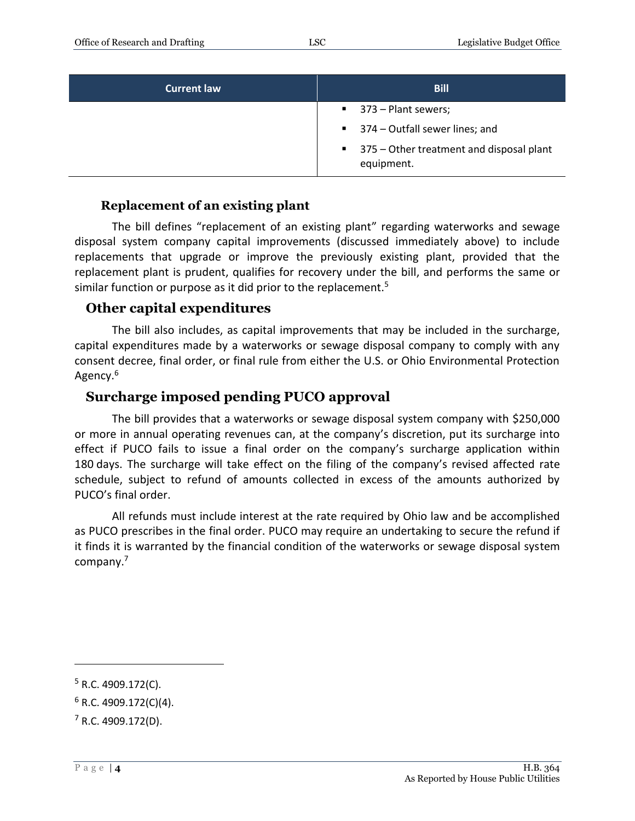| <b>Current law</b> | <b>Bill</b>                                              |
|--------------------|----------------------------------------------------------|
|                    | $\blacksquare$ 373 – Plant sewers;                       |
|                    | ■ 374 – Outfall sewer lines; and                         |
|                    | ■ 375 – Other treatment and disposal plant<br>equipment. |

#### **Replacement of an existing plant**

The bill defines "replacement of an existing plant" regarding waterworks and sewage disposal system company capital improvements (discussed immediately above) to include replacements that upgrade or improve the previously existing plant, provided that the replacement plant is prudent, qualifies for recovery under the bill, and performs the same or similar function or purpose as it did prior to the replacement.<sup>5</sup>

### **Other capital expenditures**

The bill also includes, as capital improvements that may be included in the surcharge, capital expenditures made by a waterworks or sewage disposal company to comply with any consent decree, final order, or final rule from either the U.S. or Ohio Environmental Protection Agency.<sup>6</sup>

### **Surcharge imposed pending PUCO approval**

The bill provides that a waterworks or sewage disposal system company with \$250,000 or more in annual operating revenues can, at the company's discretion, put its surcharge into effect if PUCO fails to issue a final order on the company's surcharge application within 180 days. The surcharge will take effect on the filing of the company's revised affected rate schedule, subject to refund of amounts collected in excess of the amounts authorized by PUCO's final order.

All refunds must include interest at the rate required by Ohio law and be accomplished as PUCO prescribes in the final order. PUCO may require an undertaking to secure the refund if it finds it is warranted by the financial condition of the waterworks or sewage disposal system company.<sup>7</sup>

 $\overline{a}$ 

 $5$  R.C. 4909.172(C).

 $6$  R.C. 4909.172(C)(4).

 $7$  R.C. 4909.172(D).